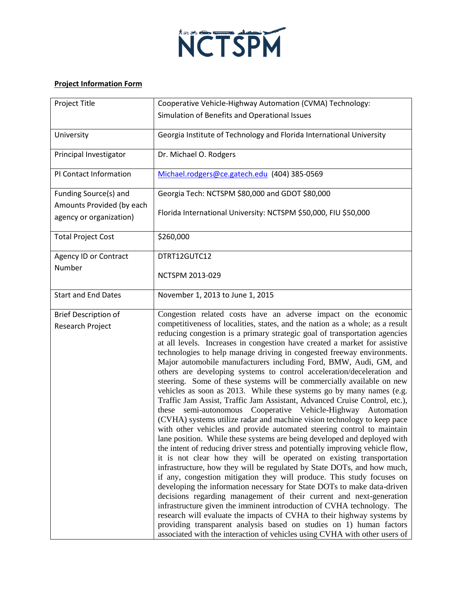

## **Project Information Form**

| Project Title                                      | Cooperative Vehicle-Highway Automation (CVMA) Technology:                                                                                                                                                                                                                                                                                                                                                                                                                                                                                                                                                                                                                                                                                                                                                                                                                                                                                                                                                                                                                                                                                                                                                                                                                                                                                                                                                                                                                                                                                                                                                                                                                                                                                                                                                                                        |
|----------------------------------------------------|--------------------------------------------------------------------------------------------------------------------------------------------------------------------------------------------------------------------------------------------------------------------------------------------------------------------------------------------------------------------------------------------------------------------------------------------------------------------------------------------------------------------------------------------------------------------------------------------------------------------------------------------------------------------------------------------------------------------------------------------------------------------------------------------------------------------------------------------------------------------------------------------------------------------------------------------------------------------------------------------------------------------------------------------------------------------------------------------------------------------------------------------------------------------------------------------------------------------------------------------------------------------------------------------------------------------------------------------------------------------------------------------------------------------------------------------------------------------------------------------------------------------------------------------------------------------------------------------------------------------------------------------------------------------------------------------------------------------------------------------------------------------------------------------------------------------------------------------------|
|                                                    | Simulation of Benefits and Operational Issues                                                                                                                                                                                                                                                                                                                                                                                                                                                                                                                                                                                                                                                                                                                                                                                                                                                                                                                                                                                                                                                                                                                                                                                                                                                                                                                                                                                                                                                                                                                                                                                                                                                                                                                                                                                                    |
| University                                         | Georgia Institute of Technology and Florida International University                                                                                                                                                                                                                                                                                                                                                                                                                                                                                                                                                                                                                                                                                                                                                                                                                                                                                                                                                                                                                                                                                                                                                                                                                                                                                                                                                                                                                                                                                                                                                                                                                                                                                                                                                                             |
| Principal Investigator                             | Dr. Michael O. Rodgers                                                                                                                                                                                                                                                                                                                                                                                                                                                                                                                                                                                                                                                                                                                                                                                                                                                                                                                                                                                                                                                                                                                                                                                                                                                                                                                                                                                                                                                                                                                                                                                                                                                                                                                                                                                                                           |
| PI Contact Information                             | Michael.rodgers@ce.gatech.edu (404) 385-0569                                                                                                                                                                                                                                                                                                                                                                                                                                                                                                                                                                                                                                                                                                                                                                                                                                                                                                                                                                                                                                                                                                                                                                                                                                                                                                                                                                                                                                                                                                                                                                                                                                                                                                                                                                                                     |
| Funding Source(s) and<br>Amounts Provided (by each | Georgia Tech: NCTSPM \$80,000 and GDOT \$80,000                                                                                                                                                                                                                                                                                                                                                                                                                                                                                                                                                                                                                                                                                                                                                                                                                                                                                                                                                                                                                                                                                                                                                                                                                                                                                                                                                                                                                                                                                                                                                                                                                                                                                                                                                                                                  |
| agency or organization)                            | Florida International University: NCTSPM \$50,000, FIU \$50,000                                                                                                                                                                                                                                                                                                                                                                                                                                                                                                                                                                                                                                                                                                                                                                                                                                                                                                                                                                                                                                                                                                                                                                                                                                                                                                                                                                                                                                                                                                                                                                                                                                                                                                                                                                                  |
| <b>Total Project Cost</b>                          | \$260,000                                                                                                                                                                                                                                                                                                                                                                                                                                                                                                                                                                                                                                                                                                                                                                                                                                                                                                                                                                                                                                                                                                                                                                                                                                                                                                                                                                                                                                                                                                                                                                                                                                                                                                                                                                                                                                        |
| Agency ID or Contract                              | DTRT12GUTC12                                                                                                                                                                                                                                                                                                                                                                                                                                                                                                                                                                                                                                                                                                                                                                                                                                                                                                                                                                                                                                                                                                                                                                                                                                                                                                                                                                                                                                                                                                                                                                                                                                                                                                                                                                                                                                     |
| Number                                             | NCTSPM 2013-029                                                                                                                                                                                                                                                                                                                                                                                                                                                                                                                                                                                                                                                                                                                                                                                                                                                                                                                                                                                                                                                                                                                                                                                                                                                                                                                                                                                                                                                                                                                                                                                                                                                                                                                                                                                                                                  |
| <b>Start and End Dates</b>                         | November 1, 2013 to June 1, 2015                                                                                                                                                                                                                                                                                                                                                                                                                                                                                                                                                                                                                                                                                                                                                                                                                                                                                                                                                                                                                                                                                                                                                                                                                                                                                                                                                                                                                                                                                                                                                                                                                                                                                                                                                                                                                 |
| <b>Brief Description of</b><br>Research Project    | Congestion related costs have an adverse impact on the economic<br>competitiveness of localities, states, and the nation as a whole; as a result<br>reducing congestion is a primary strategic goal of transportation agencies<br>at all levels. Increases in congestion have created a market for assistive<br>technologies to help manage driving in congested freeway environments.<br>Major automobile manufacturers including Ford, BMW, Audi, GM, and<br>others are developing systems to control acceleration/deceleration and<br>steering. Some of these systems will be commercially available on new<br>vehicles as soon as 2013. While these systems go by many names (e.g.<br>Traffic Jam Assist, Traffic Jam Assistant, Advanced Cruise Control, etc.),<br>semi-autonomous Cooperative Vehicle-Highway Automation<br>these<br>(CVHA) systems utilize radar and machine vision technology to keep pace<br>with other vehicles and provide automated steering control to maintain<br>lane position. While these systems are being developed and deployed with<br>the intent of reducing driver stress and potentially improving vehicle flow,<br>it is not clear how they will be operated on existing transportation<br>infrastructure, how they will be regulated by State DOTs, and how much,<br>if any, congestion mitigation they will produce. This study focuses on<br>developing the information necessary for State DOTs to make data-driven<br>decisions regarding management of their current and next-generation<br>infrastructure given the imminent introduction of CVHA technology. The<br>research will evaluate the impacts of CVHA to their highway systems by<br>providing transparent analysis based on studies on 1) human factors<br>associated with the interaction of vehicles using CVHA with other users of |